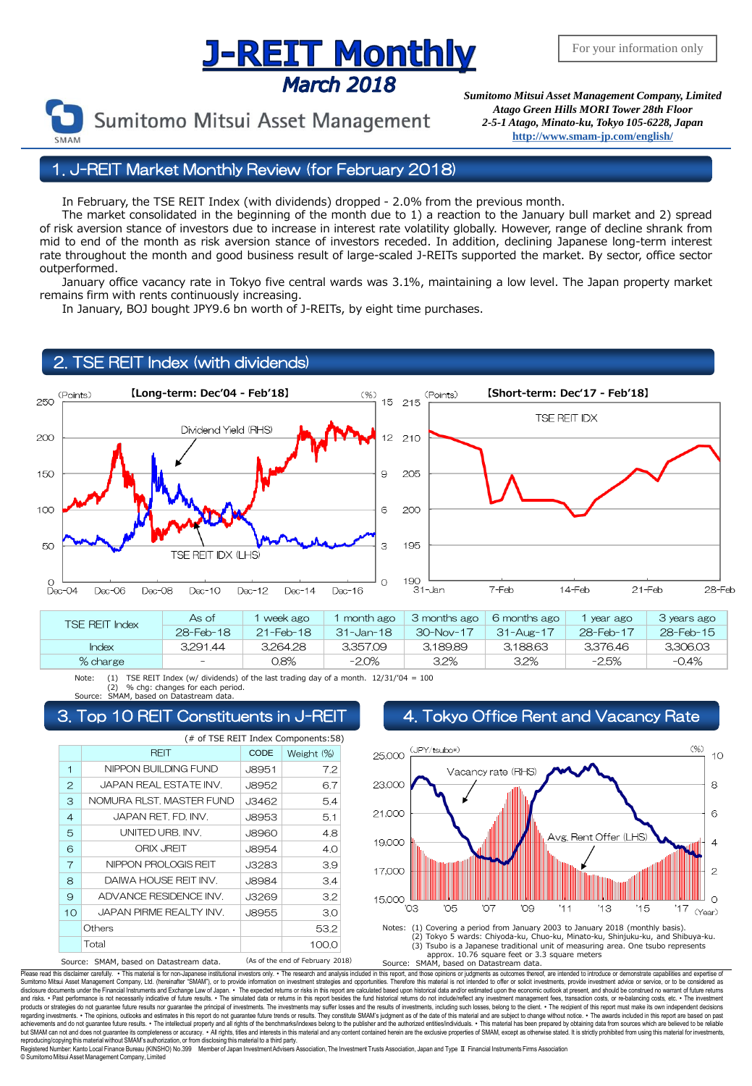# **J-REIT MONTHLY**<br>March 2018<br>*Sumitomo Mitsui Asset Management Company, Limited*



*Atago Green Hills MORI Tower 28th Floor 2-5-1 Atago, Minato-ku, Tokyo 105-6228, Japan* **<http://www.smam-jp.com/english/>**

1. J-REIT Market Monthly Review (for February 2018)

In February, the TSE REIT Index (with dividends) dropped - 2.0% from the previous month.

 The market consolidated in the beginning of the month due to 1) a reaction to the January bull market and 2) spread of risk aversion stance of investors due to increase in interest rate volatility globally. However, range of decline shrank from mid to end of the month as risk aversion stance of investors receded. In addition, declining Japanese long-term interest rate throughout the month and good business result of large-scaled J-REITs supported the market. By sector, office sector outperformed.

 January office vacancy rate in Tokyo five central wards was 3.1%, maintaining a low level. The Japan property market remains firm with rents continuously increasing.

In January, BOJ bought JPY9.6 bn worth of J-REITs, by eight time purchases.

### 2. TSE REIT Index (with dividends)



| <b>TSF RFIT Index</b> | As of             | week ago               | month ago        | 3 months ago<br>6 months ago<br>year ago | 3 years ago |           |              |
|-----------------------|-------------------|------------------------|------------------|------------------------------------------|-------------|-----------|--------------|
|                       | 28-Feb-18         | $21 - \text{Feb} - 18$ | $31 -$ Jan $-18$ | $30 - Nov - 17$                          | 31-Aug-17   | 28-Feb-17 | $28$ -Feb-15 |
| Index                 | 3.291.44          | 3.264.28               | 3.357.09         | 3.189.89                                 | 3,188,63    | 3.376.46  | 3,306,03     |
| % charge              | $\qquad \qquad -$ | 0.8%                   | $-2.0\%$         | $3.2\%$                                  | $3.2\%$     | -2.5%     | $-0.4%$      |

Note: (1) TSE REIT Index (w/ dividends) of the last trading day of a month.  $12/31/704 = 100$ (2) % chg: changes for each period. Source: SMAM, based on Datastream data.

|                | (# of TSE REIT Index Components:58)     |              |                                  |  |  |  |  |
|----------------|-----------------------------------------|--------------|----------------------------------|--|--|--|--|
|                | <b>REIT</b>                             | <b>CODE</b>  | Weight (%)                       |  |  |  |  |
| 1              | NIPPON BUILDING FUND                    | J8951        | 7.2                              |  |  |  |  |
| $\mathbf{2}$   | JAPAN REAL ESTATE INV.                  | <b>J8952</b> | 6.7                              |  |  |  |  |
| 3              | NOMURA RLST, MASTER FUND                | J3462        | 5.4                              |  |  |  |  |
| $\overline{4}$ | JAPAN RET. FD. INV.                     | J8953        | 5.1                              |  |  |  |  |
| 5              | UNITED URB. INV.                        | <b>J8960</b> | 4.8                              |  |  |  |  |
| 6              | <b>ORIX JREIT</b>                       | <b>J8954</b> | 4.0                              |  |  |  |  |
| $\overline{7}$ | NIPPON PROLOGIS REIT                    | J3283        | 3.9                              |  |  |  |  |
| 8              | DAIWA HOUSE REIT INV.                   | <b>J8984</b> | 3.4                              |  |  |  |  |
| 9              | ADVANCE RESIDENCE INV.                  | J3269        | 3.2                              |  |  |  |  |
| 10             | JAPAN PIRME REALTY INV.                 | J8955        | 3.0                              |  |  |  |  |
| Others         |                                         |              | 53.2                             |  |  |  |  |
|                | Total                                   |              | 100.0                            |  |  |  |  |
|                | Source: SMAM, based on Datastream data. |              | (As of the end of February 2018) |  |  |  |  |

### 3. Top 10 REIT Constituents in J-REIT  $\begin{array}{|c|c|} \hline \quad4.\hline \end{array}$  Tokyo Office Rent and Vacancy Rate





Please read this disdaimer carefully. . This material is for non-Japanese institutional investors only. . The research and analysis included in this report, and those opinions or judgments as outcomes thereof, are intended disclosure documents under the Financial Instruments and Exchange Law of Japan. ∙ The expected relums or risk in this report are calculated based upon historical data and/or estimated upon the economic outlook at present, regarding investments. • The opinions, outlooks and estimates in this report do not guarantee future trends or results. They constitute SMAM's judgment as of the date of this material and are subject to change without noti reproducing/copying this material without SMAM's authorization, or from disclosing this material to a third party<br>Registered Number: Kanto Local Finance Bureau (KINSHO) No.399 Member of Japan Investment Advisers

Finance Bureau in the Aument Endings Association. Japan and Type Ⅱ Financial Instruments Firms Association, The Investment Trusts Association © SumitomoMitsui Asset Management Company, Limited